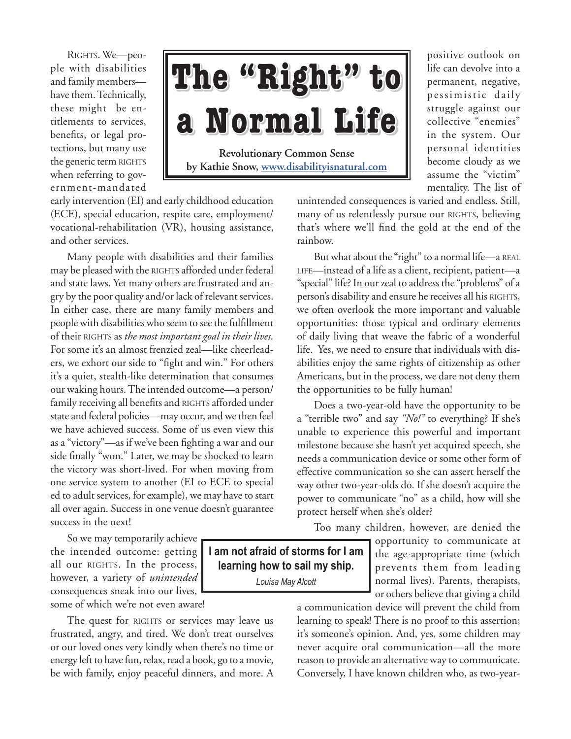RIGHTS. We-people with disabilities and family members have them. Technically, these might be entitlements to services, benefits, or legal protections, but many use the generic term RIGHTS when referring to government-mandated

## **Revolutionary Common Sense by Kathie Snow, www.disabilityisnatural.com The "Right" to a Normal Life**

positive outlook on life can devolve into a permanent, negative, pessimistic daily struggle against our collective "enemies" in the system. Our personal identities become cloudy as we assume the "victim" mentality. The list of

early intervention (EI) and early childhood education (ECE), special education, respite care, employment/ vocational-rehabilitation (VR), housing assistance, and other services.

Many people with disabilities and their families may be pleased with the RIGHTS afforded under federal and state laws. Yet many others are frustrated and angry by the poor quality and/or lack of relevant services. In either case, there are many family members and people with disabilities who seem to see the fulfillment of their RIGHTS as *the most important goal in their lives*. For some it's an almost frenzied zeal—like cheerleaders, we exhort our side to "fight and win." For others it's a quiet, stealth-like determination that consumes our waking hours. The intended outcome—a person/ family receiving all benefits and RIGHTS afforded under state and federal policies—may occur, and we then feel we have achieved success. Some of us even view this as a "victory"—as if we've been fighting a war and our side finally "won." Later, we may be shocked to learn the victory was short-lived. For when moving from one service system to another (EI to ECE to special ed to adult services, for example), we may have to start all over again. Success in one venue doesn't guarantee success in the next!

So we may temporarily achieve the intended outcome: getting all our RIGHTS. In the process, however, a variety of *unintended*  consequences sneak into our lives, some of which we're not even aware!

The quest for RIGHTS or services may leave us frustrated, angry, and tired. We don't treat ourselves or our loved ones very kindly when there's no time or energy left to have fun, relax, read a book, go to a movie, be with family, enjoy peaceful dinners, and more. A unintended consequences is varied and endless. Still, many of us relentlessly pursue our RIGHTS, believing that's where we'll find the gold at the end of the rainbow.

But what about the "right" to a normal life—a REAL life—instead of a life as a client, recipient, patient—a "special" life? In our zeal to address the "problems" of a person's disability and ensure he receives all his RIGHTS, we often overlook the more important and valuable opportunities: those typical and ordinary elements of daily living that weave the fabric of a wonderful life. Yes, we need to ensure that individuals with disabilities enjoy the same rights of citizenship as other Americans, but in the process, we dare not deny them the opportunities to be fully human!

Does a two-year-old have the opportunity to be a "terrible two" and say *"No!"* to everything? If she's unable to experience this powerful and important milestone because she hasn't yet acquired speech, she needs a communication device or some other form of effective communication so she can assert herself the way other two-year-olds do. If she doesn't acquire the power to communicate "no" as a child, how will she protect herself when she's older?

Too many children, however, are denied the

**I am not afraid of storms for I am learning how to sail my ship.** *Louisa May Alcott*

opportunity to communicate at the age-appropriate time (which prevents them from leading normal lives). Parents, therapists, or others believe that giving a child

a communication device will prevent the child from learning to speak! There is no proof to this assertion; it's someone's opinion. And, yes, some children may never acquire oral communication—all the more reason to provide an alternative way to communicate. Conversely, I have known children who, as two-year-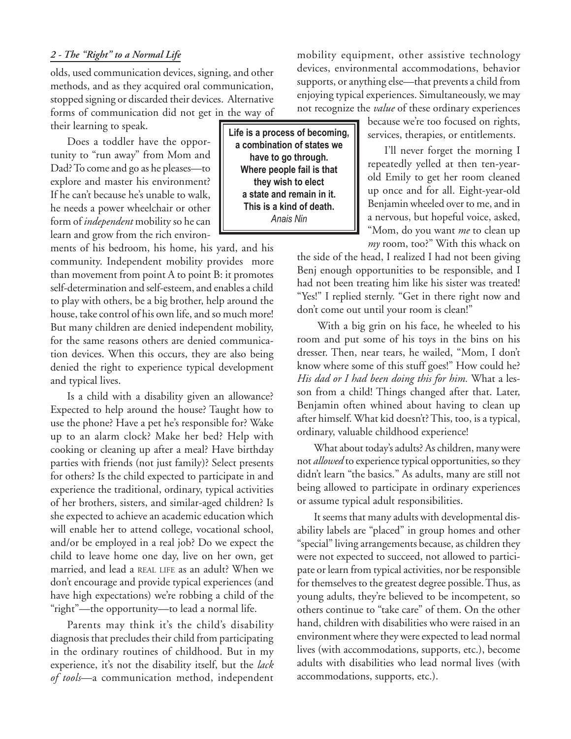## *2 - The "Right" to a Normal Life*

olds, used communication devices, signing, and other methods, and as they acquired oral communication, stopped signing or discarded their devices. Alternative forms of communication did not get in the way of their learning to speak.

Does a toddler have the opportunity to "run away" from Mom and Dad? To come and go as he pleases—to explore and master his environment? If he can't because he's unable to walk, he needs a power wheelchair or other form of *independent* mobility so he can learn and grow from the rich environ-

ments of his bedroom, his home, his yard, and his community. Independent mobility provides more than movement from point A to point B: it promotes self-determination and self-esteem, and enables a child to play with others, be a big brother, help around the house, take control of his own life, and so much more! But many children are denied independent mobility, for the same reasons others are denied communication devices. When this occurs, they are also being denied the right to experience typical development and typical lives.

Is a child with a disability given an allowance? Expected to help around the house? Taught how to use the phone? Have a pet he's responsible for? Wake up to an alarm clock? Make her bed? Help with cooking or cleaning up after a meal? Have birthday parties with friends (not just family)? Select presents for others? Is the child expected to participate in and experience the traditional, ordinary, typical activities of her brothers, sisters, and similar-aged children? Is she expected to achieve an academic education which will enable her to attend college, vocational school, and/or be employed in a real job? Do we expect the child to leave home one day, live on her own, get married, and lead a REAL LIFE as an adult? When we don't encourage and provide typical experiences (and have high expectations) we're robbing a child of the "right"—the opportunity—to lead a normal life.

Parents may think it's the child's disability diagnosis that precludes their child from participating in the ordinary routines of childhood. But in my experience, it's not the disability itself, but the *lack of tools*—a communication method, independent

**Life is a process of becoming, a combination of states we have to go through. Where people fail is that they wish to elect a state and remain in it. This is a kind of death.** *Anais Nin*

mobility equipment, other assistive technology devices, environmental accommodations, behavior supports, or anything else—that prevents a child from enjoying typical experiences. Simultaneously, we may not recognize the *value* of these ordinary experiences

> because we're too focused on rights, services, therapies, or entitlements.

> I'll never forget the morning I repeatedly yelled at then ten-yearold Emily to get her room cleaned up once and for all. Eight-year-old Benjamin wheeled over to me, and in a nervous, but hopeful voice, asked, "Mom, do you want *me* to clean up *my* room, too?" With this whack on

the side of the head, I realized I had not been giving Benj enough opportunities to be responsible, and I had not been treating him like his sister was treated! "Yes!" I replied sternly. "Get in there right now and don't come out until your room is clean!"

 With a big grin on his face, he wheeled to his room and put some of his toys in the bins on his dresser. Then, near tears, he wailed, "Mom, I don't know where some of this stuff goes!" How could he? *His dad or I had been doing this for him.* What a lesson from a child! Things changed after that. Later, Benjamin often whined about having to clean up after himself. What kid doesn't? This, too, is a typical, ordinary, valuable childhood experience!

What about today's adults? As children, many were not *allowed* to experience typical opportunities, so they didn't learn "the basics." As adults, many are still not being allowed to participate in ordinary experiences or assume typical adult responsibilities.

It seems that many adults with developmental disability labels are "placed" in group homes and other "special" living arrangements because, as children they were not expected to succeed, not allowed to participate or learn from typical activities, nor be responsible for themselves to the greatest degree possible. Thus, as young adults, they're believed to be incompetent, so others continue to "take care" of them. On the other hand, children with disabilities who were raised in an environment where they were expected to lead normal lives (with accommodations, supports, etc.), become adults with disabilities who lead normal lives (with accommodations, supports, etc.).